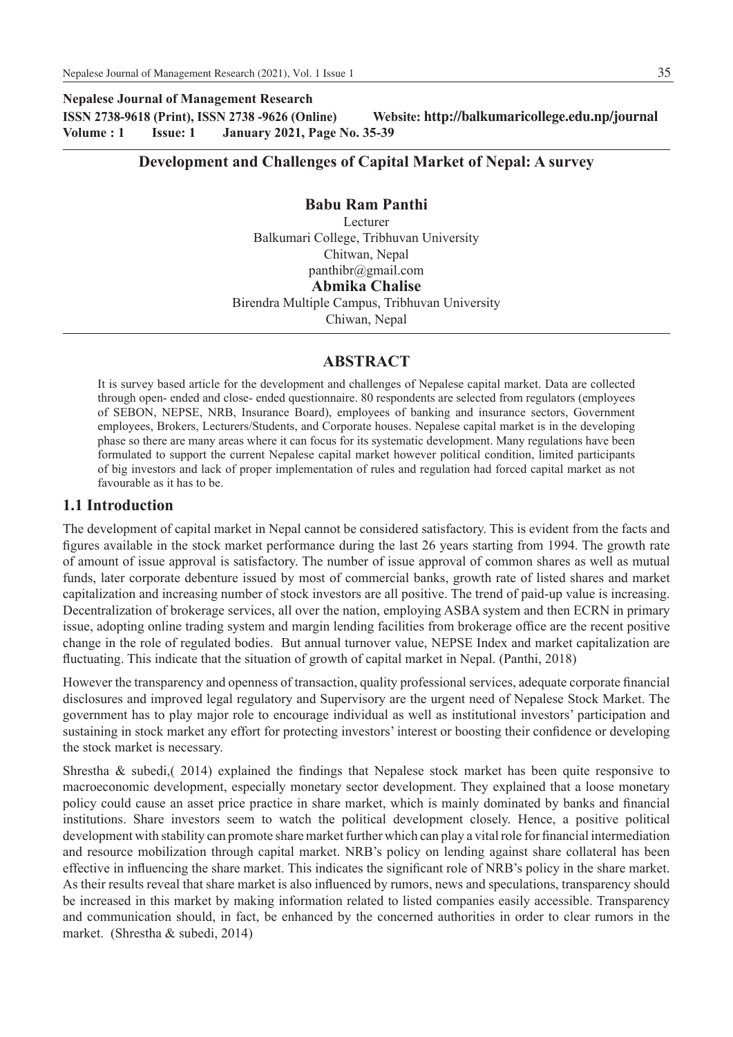**Nepalese Journal of Management Research ISSN 2738-9618 (Print), ISSN 2738 -9626 (Online) Website: http://balkumaricollege.edu.np/journal Volume : 1 Issue: 1 January 2021, Page No. 35-39**

# **Development and Challenges of Capital Market of Nepal: A survey**

**Babu Ram Panthi** Lecturer Balkumari College, Tribhuvan University Chitwan, Nepal panthibr@gmail.com **Abmika Chalise** Birendra Multiple Campus, Tribhuvan University

Chiwan, Nepal

## **ABSTRACT**

It is survey based article for the development and challenges of Nepalese capital market. Data are collected through open- ended and close- ended questionnaire. 80 respondents are selected from regulators (employees of SEBON, NEPSE, NRB, Insurance Board), employees of banking and insurance sectors, Government employees, Brokers, Lecturers/Students, and Corporate houses. Nepalese capital market is in the developing phase so there are many areas where it can focus for its systematic development. Many regulations have been formulated to support the current Nepalese capital market however political condition, limited participants of big investors and lack of proper implementation of rules and regulation had forced capital market as not favourable as it has to be.

## **1.1 Introduction**

The development of capital market in Nepal cannot be considered satisfactory. This is evident from the facts and figures available in the stock market performance during the last 26 years starting from 1994. The growth rate of amount of issue approval is satisfactory. The number of issue approval of common shares as well as mutual funds, later corporate debenture issued by most of commercial banks, growth rate of listed shares and market capitalization and increasing number of stock investors are all positive. The trend of paid-up value is increasing. Decentralization of brokerage services, all over the nation, employing ASBA system and then ECRN in primary issue, adopting online trading system and margin lending facilities from brokerage office are the recent positive change in the role of regulated bodies. But annual turnover value, NEPSE Index and market capitalization are fluctuating. This indicate that the situation of growth of capital market in Nepal. (Panthi, 2018)

However the transparency and openness of transaction, quality professional services, adequate corporate financial disclosures and improved legal regulatory and Supervisory are the urgent need of Nepalese Stock Market. The government has to play major role to encourage individual as well as institutional investors' participation and sustaining in stock market any effort for protecting investors' interest or boosting their confidence or developing the stock market is necessary.

Shrestha & subedi,( 2014) explained the findings that Nepalese stock market has been quite responsive to macroeconomic development, especially monetary sector development. They explained that a loose monetary policy could cause an asset price practice in share market, which is mainly dominated by banks and financial institutions. Share investors seem to watch the political development closely. Hence, a positive political development with stability can promote share market further which can play a vital role for financial intermediation and resource mobilization through capital market. NRB's policy on lending against share collateral has been effective in influencing the share market. This indicates the significant role of NRB's policy in the share market. As their results reveal that share market is also influenced by rumors, news and speculations, transparency should be increased in this market by making information related to listed companies easily accessible. Transparency and communication should, in fact, be enhanced by the concerned authorities in order to clear rumors in the market. (Shrestha & subedi, 2014)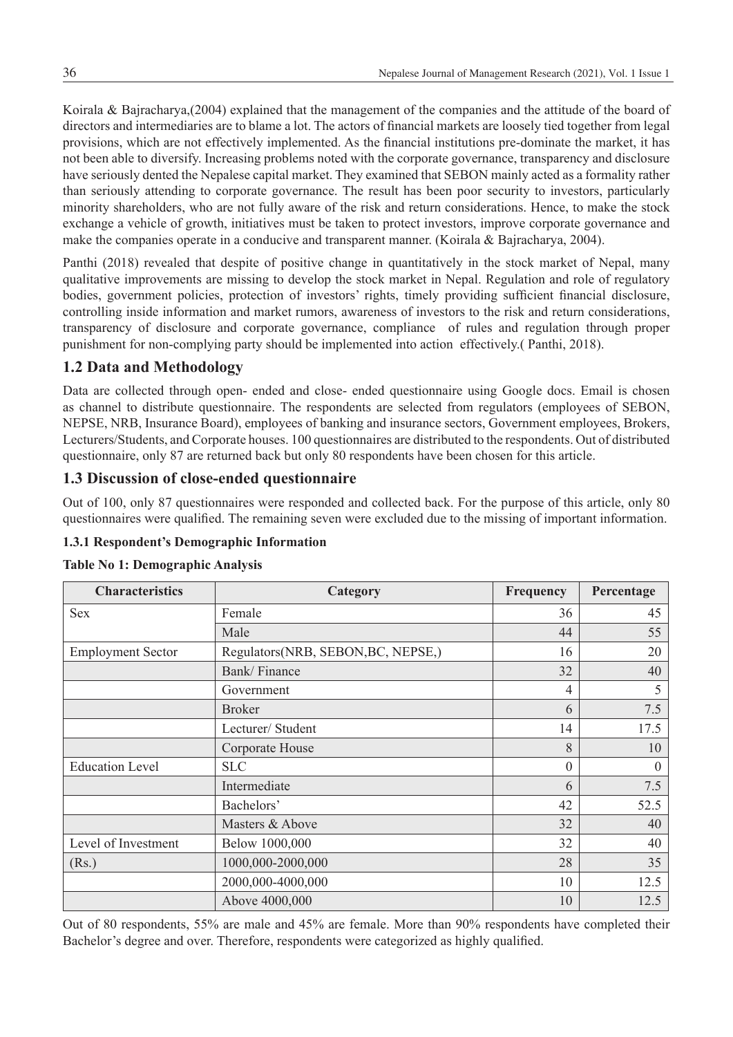Koirala & Bajracharya,(2004) explained that the management of the companies and the attitude of the board of directors and intermediaries are to blame a lot. The actors of financial markets are loosely tied together from legal provisions, which are not effectively implemented. As the financial institutions pre-dominate the market, it has not been able to diversify. Increasing problems noted with the corporate governance, transparency and disclosure have seriously dented the Nepalese capital market. They examined that SEBON mainly acted as a formality rather than seriously attending to corporate governance. The result has been poor security to investors, particularly minority shareholders, who are not fully aware of the risk and return considerations. Hence, to make the stock exchange a vehicle of growth, initiatives must be taken to protect investors, improve corporate governance and make the companies operate in a conducive and transparent manner. (Koirala & Bajracharya, 2004).

Panthi (2018) revealed that despite of positive change in quantitatively in the stock market of Nepal, many qualitative improvements are missing to develop the stock market in Nepal. Regulation and role of regulatory bodies, government policies, protection of investors' rights, timely providing sufficient financial disclosure, controlling inside information and market rumors, awareness of investors to the risk and return considerations, transparency of disclosure and corporate governance, compliance of rules and regulation through proper punishment for non-complying party should be implemented into action effectively.( Panthi, 2018).

# **1.2 Data and Methodology**

Data are collected through open- ended and close- ended questionnaire using Google docs. Email is chosen as channel to distribute questionnaire. The respondents are selected from regulators (employees of SEBON, NEPSE, NRB, Insurance Board), employees of banking and insurance sectors, Government employees, Brokers, Lecturers/Students, and Corporate houses. 100 questionnaires are distributed to the respondents. Out of distributed questionnaire, only 87 are returned back but only 80 respondents have been chosen for this article.

# **1.3 Discussion of close-ended questionnaire**

Out of 100, only 87 questionnaires were responded and collected back. For the purpose of this article, only 80 questionnaires were qualified. The remaining seven were excluded due to the missing of important information.

## **1.3.1 Respondent's Demographic Information**

| <b>Characteristics</b>   | Category                           | Frequency | Percentage |
|--------------------------|------------------------------------|-----------|------------|
| <b>Sex</b>               | Female                             | 36        | 45         |
|                          | Male                               | 44        | 55         |
| <b>Employment Sector</b> | Regulators(NRB, SEBON, BC, NEPSE,) | 16        | 20         |
|                          | Bank/Finance                       | 32        | 40         |
|                          | Government                         | 4         | 5          |
|                          | <b>Broker</b>                      | 6         | 7.5        |
|                          | Lecturer/ Student                  | 14        | 17.5       |
|                          | Corporate House                    | 8         | 10         |
| <b>Education Level</b>   | <b>SLC</b>                         | $\theta$  | $\theta$   |
|                          | Intermediate                       | 6         | 7.5        |
|                          | Bachelors'                         | 42        | 52.5       |
|                          | Masters & Above                    | 32        | 40         |
| Level of Investment      | Below 1000,000                     | 32        | 40         |
| (Rs.)                    | 1000,000-2000,000                  | 28        | 35         |
|                          | 2000,000-4000,000                  | 10        | 12.5       |
|                          | Above 4000,000                     | 10        | 12.5       |

## **Table No 1: Demographic Analysis**

Out of 80 respondents, 55% are male and 45% are female. More than 90% respondents have completed their Bachelor's degree and over. Therefore, respondents were categorized as highly qualified.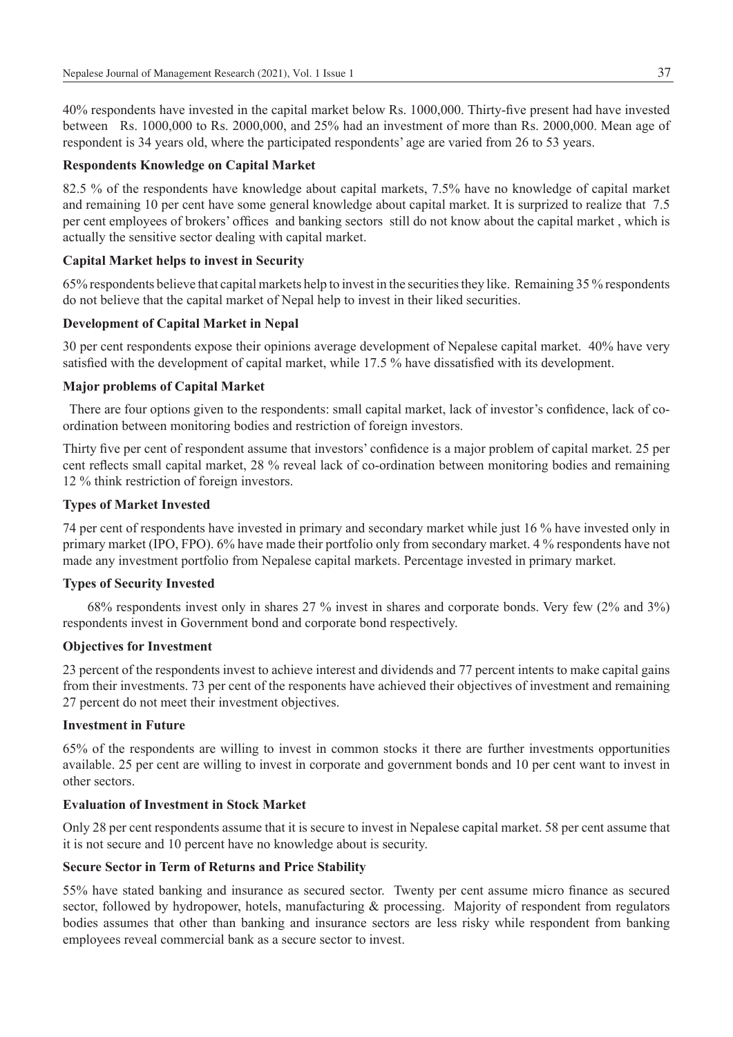40% respondents have invested in the capital market below Rs. 1000,000. Thirty-five present had have invested between Rs. 1000,000 to Rs. 2000,000, and 25% had an investment of more than Rs. 2000,000. Mean age of respondent is 34 years old, where the participated respondents' age are varied from 26 to 53 years.

#### **Respondents Knowledge on Capital Market**

82.5 % of the respondents have knowledge about capital markets, 7.5% have no knowledge of capital market and remaining 10 per cent have some general knowledge about capital market. It is surprized to realize that 7.5 per cent employees of brokers' offices and banking sectors still do not know about the capital market , which is actually the sensitive sector dealing with capital market.

### **Capital Market helps to invest in Security**

65% respondents believe that capital markets help to invest in the securities they like. Remaining 35 % respondents do not believe that the capital market of Nepal help to invest in their liked securities.

### **Development of Capital Market in Nepal**

30 per cent respondents expose their opinions average development of Nepalese capital market. 40% have very satisfied with the development of capital market, while 17.5 % have dissatisfied with its development.

#### **Major problems of Capital Market**

 There are four options given to the respondents: small capital market, lack of investor's confidence, lack of coordination between monitoring bodies and restriction of foreign investors.

Thirty five per cent of respondent assume that investors' confidence is a major problem of capital market. 25 per cent reflects small capital market, 28 % reveal lack of co-ordination between monitoring bodies and remaining 12 % think restriction of foreign investors.

#### **Types of Market Invested**

74 per cent of respondents have invested in primary and secondary market while just 16 % have invested only in primary market (IPO, FPO). 6% have made their portfolio only from secondary market. 4 % respondents have not made any investment portfolio from Nepalese capital markets. Percentage invested in primary market.

#### **Types of Security Invested**

 68% respondents invest only in shares 27 % invest in shares and corporate bonds. Very few (2% and 3%) respondents invest in Government bond and corporate bond respectively.

#### **Objectives for Investment**

23 percent of the respondents invest to achieve interest and dividends and 77 percent intents to make capital gains from their investments. 73 per cent of the responents have achieved their objectives of investment and remaining 27 percent do not meet their investment objectives.

#### **Investment in Future**

65% of the respondents are willing to invest in common stocks it there are further investments opportunities available. 25 per cent are willing to invest in corporate and government bonds and 10 per cent want to invest in other sectors.

#### **Evaluation of Investment in Stock Market**

Only 28 per cent respondents assume that it is secure to invest in Nepalese capital market. 58 per cent assume that it is not secure and 10 percent have no knowledge about is security.

#### **Secure Sector in Term of Returns and Price Stability**

55% have stated banking and insurance as secured sector. Twenty per cent assume micro finance as secured sector, followed by hydropower, hotels, manufacturing & processing. Majority of respondent from regulators bodies assumes that other than banking and insurance sectors are less risky while respondent from banking employees reveal commercial bank as a secure sector to invest.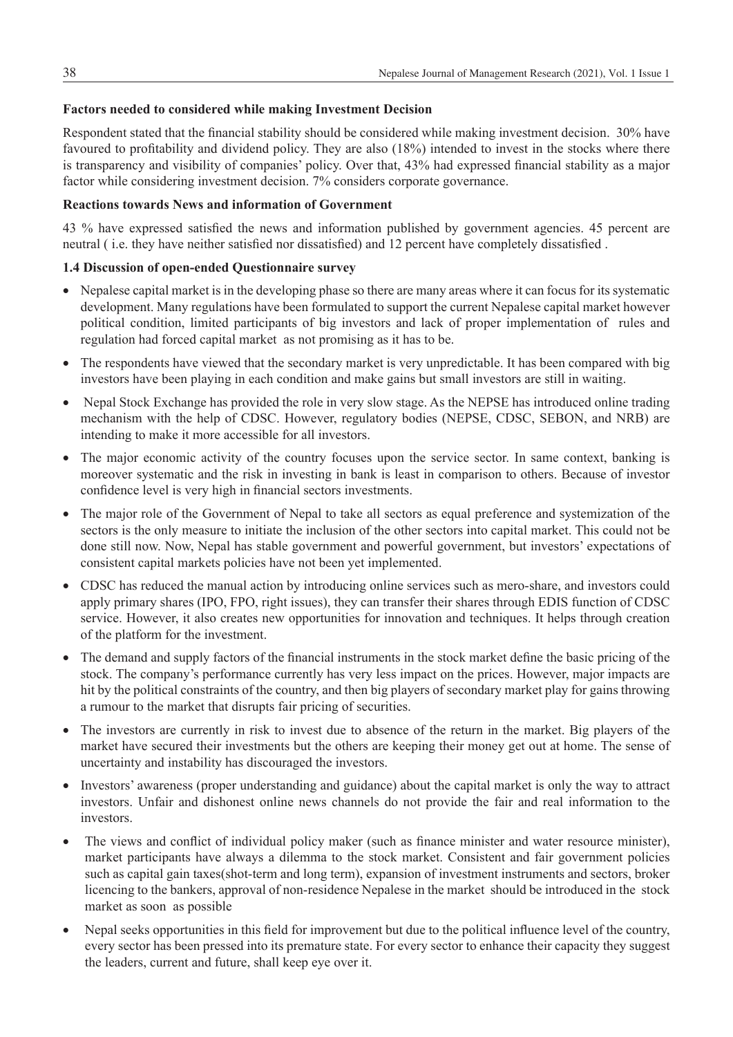## **Factors needed to considered while making Investment Decision**

Respondent stated that the financial stability should be considered while making investment decision. 30% have favoured to profitability and dividend policy. They are also (18%) intended to invest in the stocks where there is transparency and visibility of companies' policy. Over that, 43% had expressed financial stability as a major factor while considering investment decision. 7% considers corporate governance.

## **Reactions towards News and information of Government**

43 % have expressed satisfied the news and information published by government agencies. 45 percent are neutral ( i.e. they have neither satisfied nor dissatisfied) and 12 percent have completely dissatisfied .

## **1.4 Discussion of open-ended Questionnaire survey**

- Nepalese capital market is in the developing phase so there are many areas where it can focus for its systematic development. Many regulations have been formulated to support the current Nepalese capital market however political condition, limited participants of big investors and lack of proper implementation of rules and regulation had forced capital market as not promising as it has to be.
- The respondents have viewed that the secondary market is very unpredictable. It has been compared with big investors have been playing in each condition and make gains but small investors are still in waiting.
- Nepal Stock Exchange has provided the role in very slow stage. As the NEPSE has introduced online trading mechanism with the help of CDSC. However, regulatory bodies (NEPSE, CDSC, SEBON, and NRB) are intending to make it more accessible for all investors.
- The major economic activity of the country focuses upon the service sector. In same context, banking is moreover systematic and the risk in investing in bank is least in comparison to others. Because of investor confidence level is very high in financial sectors investments.
- The major role of the Government of Nepal to take all sectors as equal preference and systemization of the sectors is the only measure to initiate the inclusion of the other sectors into capital market. This could not be done still now. Now, Nepal has stable government and powerful government, but investors' expectations of consistent capital markets policies have not been yet implemented.
- CDSC has reduced the manual action by introducing online services such as mero-share, and investors could apply primary shares (IPO, FPO, right issues), they can transfer their shares through EDIS function of CDSC service. However, it also creates new opportunities for innovation and techniques. It helps through creation of the platform for the investment.
- The demand and supply factors of the financial instruments in the stock market define the basic pricing of the stock. The company's performance currently has very less impact on the prices. However, major impacts are hit by the political constraints of the country, and then big players of secondary market play for gains throwing a rumour to the market that disrupts fair pricing of securities.
- The investors are currently in risk to invest due to absence of the return in the market. Big players of the market have secured their investments but the others are keeping their money get out at home. The sense of uncertainty and instability has discouraged the investors.
- Investors' awareness (proper understanding and guidance) about the capital market is only the way to attract investors. Unfair and dishonest online news channels do not provide the fair and real information to the investors.
- The views and conflict of individual policy maker (such as finance minister and water resource minister), market participants have always a dilemma to the stock market. Consistent and fair government policies such as capital gain taxes(shot-term and long term), expansion of investment instruments and sectors, broker licencing to the bankers, approval of non-residence Nepalese in the market should be introduced in the stock market as soon as possible
- Nepal seeks opportunities in this field for improvement but due to the political influence level of the country, every sector has been pressed into its premature state. For every sector to enhance their capacity they suggest the leaders, current and future, shall keep eye over it.